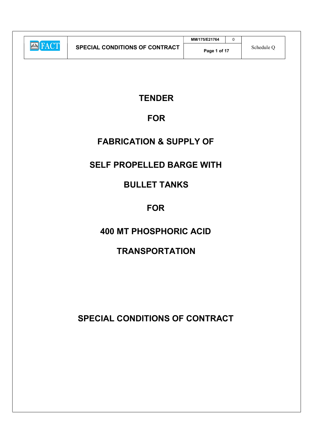|                |                                       | MM/175/E21764 |            |  |
|----------------|---------------------------------------|---------------|------------|--|
| <b>KEN KAL</b> | <b>SPECIAL CONDITIONS OF CONTRACT</b> | Page 1 of 17  | Schedule C |  |

# **TENDER**

# FOR

# FABRICATION & SUPPLY OF

# SELF PROPELLED BARGE WITH

# BULLET TANKS

# **FOR**

# 400 MT PHOSPHORIC ACID

# **TRANSPORTATION**

SPECIAL CONDITIONS OF CONTRACT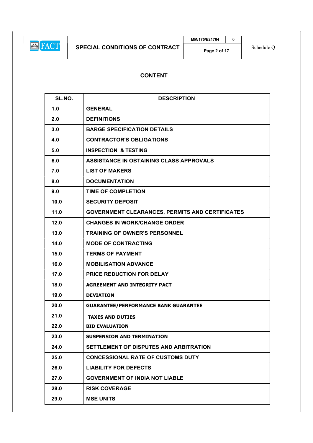# CONTENT

| SL.NO. | <b>DESCRIPTION</b>                                     |  |
|--------|--------------------------------------------------------|--|
| 1.0    | <b>GENERAL</b>                                         |  |
| 2.0    | <b>DEFINITIONS</b>                                     |  |
| 3.0    | <b>BARGE SPECIFICATION DETAILS</b>                     |  |
| 4.0    | <b>CONTRACTOR'S OBLIGATIONS</b>                        |  |
| 5.0    | <b>INSPECTION &amp; TESTING</b>                        |  |
| 6.0    | ASSISTANCE IN OBTAINING CLASS APPROVALS                |  |
| 7.0    | <b>LIST OF MAKERS</b>                                  |  |
| 8.0    | <b>DOCUMENTATION</b>                                   |  |
| 9.0    | <b>TIME OF COMPLETION</b>                              |  |
| 10.0   | <b>SECURITY DEPOSIT</b>                                |  |
| 11.0   | <b>GOVERNMENT CLEARANCES, PERMITS AND CERTIFICATES</b> |  |
| 12.0   | <b>CHANGES IN WORK/CHANGE ORDER</b>                    |  |
| 13.0   | <b>TRAINING OF OWNER'S PERSONNEL</b>                   |  |
| 14.0   | <b>MODE OF CONTRACTING</b>                             |  |
| 15.0   | <b>TERMS OF PAYMENT</b>                                |  |
| 16.0   | <b>MOBILISATION ADVANCE</b>                            |  |
| 17.0   | PRICE REDUCTION FOR DELAY                              |  |
| 18.0   | <b>AGREEMENT AND INTEGRITY PACT</b>                    |  |
| 19.0   | <b>DEVIATION</b>                                       |  |
| 20.0   | <b>GUARANTEE/PERFORMANCE BANK GUARANTEE</b>            |  |
| 21.0   | <b>TAXES AND DUTIES</b>                                |  |
| 22.0   | <b>BID EVALUATION</b>                                  |  |
| 23.0   | <b>SUSPENSION AND TERMINATION</b>                      |  |
| 24.0   | SETTLEMENT OF DISPUTES AND ARBITRATION                 |  |
| 25.0   | <b>CONCESSIONAL RATE OF CUSTOMS DUTY</b>               |  |
| 26.0   | <b>LIABILITY FOR DEFECTS</b>                           |  |
| 27.0   | <b>GOVERNMENT OF INDIA NOT LIABLE</b>                  |  |
| 28.0   | <b>RISK COVERAGE</b>                                   |  |
| 29.0   | <b>MSE UNITS</b>                                       |  |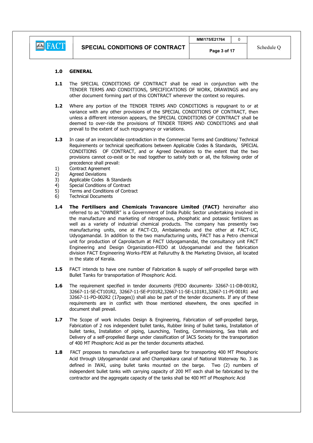#### 1.0 GENERAL

- 1.1 The SPECIAL CONDITIONS OF CONTRACT shall be read in conjunction with the TENDER TERMS AND CONDITIONS, SPECIFICATIONS OF WORK, DRAWINGS and any other document forming part of this CONTRACT wherever the context so requires.
- 1.2 Where any portion of the TENDER TERMS AND CONDITIONS is repugnant to or at variance with any other provisions of the SPECIAL CONDITIONS OF CONTRACT, then unless a different intension appears, the SPECIAL CONDITIONS OF CONTRACT shall be deemed to over-ride the provisions of TENDER TERMS AND CONDITIONS and shall prevail to the extent of such repugnancy or variations.
- 1.3 In case of an irreconcilable contradiction in the Commercial Terms and Conditions/ Technical Requirements or technical specifications between Applicable Codes & Standards, SPECIAL CONDITIONS OF CONTRACT, and or Agreed Deviations to the extent that the two provisions cannot co-exist or be read together to satisfy both or all, the following order of precedence shall prevail:
- 1) Contract Agreement
- 2) Agreed Deviations
- 3) Applicable Codes & Standards
- 4) Special Conditions of Contract
- 5) Terms and Conditions of Contract
- 6) Technical Documents
- 1.4 The Fertilisers and Chemicals Travancore Limited (FACT) hereinafter also referred to as "OWNER" is a Government of India Public Sector undertaking involved in the manufacture and marketing of nitrogenous, phosphatic and potassic fertilizers as well as a variety of industrial chemical products. The company has presently two manufacturing units, one at FACT-CD, Ambalamedu and the other at FACT-UC, Udyogamandal. In addition to the two manufacturing units, FACT has a Petro chemical unit for production of Caprolactum at FACT Udyogamandal, the consultancy unit FACT Engineering and Design Organization-FEDO at Udyogamandal and the fabrication division FACT Engineering Works-FEW at Palluruthy & the Marketing Division, all located in the state of Kerala.
- **1.5** FACT intends to have one number of Fabrication & supply of self-propelled barge with Bullet Tanks for transportation of Phosphoric Acid.
- 1.6 The requirement specified in tender documents (FEDO documents- 32667-11-DB-001R2, 32667-11-SE-CT101R2, 32667-11-SE-P101R2,32667-11-SE-L101R1,32667-11-PI-001R1 and 32667-11-PD-002R2 (17pages)) shall also be part of the tender documents. If any of these requirements are in conflict with those mentioned elsewhere, the ones specified in document shall prevail.
- 1.7 The Scope of work includes Design & Engineering, Fabrication of self-propelled barge, Fabrication of 2 nos independent bullet tanks, Rubber lining of bullet tanks, Installation of bullet tanks, Installation of piping, Launching, Testing, Commissioning, Sea trials and Delivery of a self-propelled Barge under classification of IACS Society for the transportation of 400 MT Phosphoric Acid as per the tender documents attached.
- 1.8 FACT proposes to manufacture a self-propelled barge for transporting 400 MT Phosphoric Acid through Udyogamandal canal and Champakkara canal of National Waterway No. 3 as defined in IWAI, using bullet tanks mounted on the barge. Two (2) numbers of independent bullet tanks with carrying capacity of 200 MT each shall be fabricated by the contractor and the aggregate capacity of the tanks shall be 400 MT of Phosphoric Acid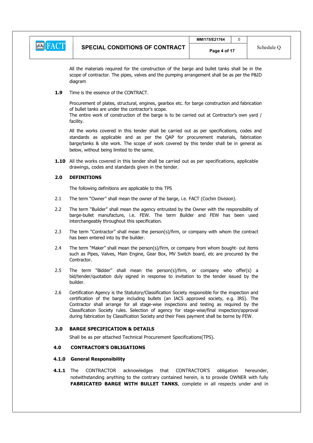| $ A = A$ | <b>SPECIAL CONDITIONS OF CONTRACT</b> | MM/175/E21764 |            |
|----------|---------------------------------------|---------------|------------|
|          |                                       | Page 4 of 17  | Schedule ( |

All the materials required for the construction of the barge and bullet tanks shall be in the scope of contractor. The pipes, valves and the pumping arrangement shall be as per the P&ID diagram

1.9 Time is the essence of the CONTRACT.

Procurement of plates, structural, engines, gearbox etc. for barge construction and fabrication of bullet tanks are under the contractor's scope.

The entire work of construction of the barge is to be carried out at Contractor's own yard / facility.

All the works covered in this tender shall be carried out as per specifications, codes and standards as applicable and as per the QAP for procurement materials, fabrication barge/tanks & site work. The scope of work covered by this tender shall be in general as below, without being limited to the same.

1.10 All the works covered in this tender shall be carried out as per specifications, applicable drawings, codes and standards given in the tender.

### 2.0 DEFINITIONS

The following definitions are applicable to this TPS

- 2.1 The term "Owner" shall mean the owner of the barge, i.e. FACT (Cochin Division).
- 2.2 The term "Builder" shall mean the agency entrusted by the Owner with the responsibility of barge-bullet manufacture, i.e. FEW. The term Builder and FEW has been used interchangeably throughout this specification.
- 2.3 The term "Contractor" shall mean the person(s)/firm, or company with whom the contract has been entered into by the builder.
- 2.4 The term "Maker" shall mean the person(s)/firm, or company from whom bought- out items such as Pipes, Valves, Main Engine, Gear Box, MV Switch board, etc are procured by the Contractor.
- 2.5 The term "Bidder" shall mean the person(s)/firm, or company who offer(s) a bid/tender/quotation duly signed in response to invitation to the tender issued by the builder.
- 2.6 Certification Agency is the Statutory/Classification Society responsible for the inspection and certification of the barge including bullets (an IACS approved society, e.g. IRS). The Contractor shall arrange for all stage-wise inspections and testing as required by the Classification Society rules. Selection of agency for stage-wise/final inspection/approval during fabrication by Classification Society and their Fees payment shall be borne by FEW.

#### 3.0 BARGE SPECIFICATION & DETAILS

Shall be as per attached Technical Procurement Specifications(TPS).

# 4.0 CONTRACTOR'S OBLIGATIONS

# 4.1.0 General Responsibility

**4.1.1** The CONTRACTOR acknowledges that CONTRACTOR'S obligation hereunder, notwithstanding anything to the contrary contained herein, is to provide OWNER with fully FABRICATED BARGE WITH BULLET TANKS, complete in all respects under and in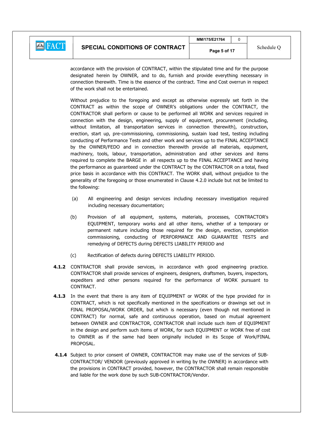

accordance with the provision of CONTRACT, within the stipulated time and for the purpose designated herein by OWNER, and to do, furnish and provide everything necessary in connection therewith. Time is the essence of the contract. Time and Cost overrun in respect of the work shall not be entertained.

Without prejudice to the foregoing and except as otherwise expressly set forth in the CONTRACT as within the scope of OWNER's obligations under the CONTRACT, the CONTRACTOR shall perform or cause to be performed all WORK and services required in connection with the design, engineering, supply of equipment, procurement (including, without limitation, all transportation services in connection therewith), construction, erection, start up, pre-commissioning, commissioning, sustain load test, testing including conducting of Performance Tests and other work and services up to the FINAL ACCEPTANCE by the OWNER/FEDO and in connection therewith provide all materials, equipment, machinery, tools, labour, transportation, administration and other services and items required to complete the BARGE in all respects up to the FINAL ACCEPTANCE and having the performance as guaranteed under the CONTRACT by the CONTRACTOR on a total, fixed price basis in accordance with this CONTRACT. The WORK shall, without prejudice to the generality of the foregoing or those enumerated in Clause 4.2.0 include but not be limited to the following:

- (a) All engineering and design services including necessary investigation required including necessary documentation;
- (b) Provision of all equipment, systems, materials, processes, CONTRACTOR's EQUIPMENT, temporary works and all other items, whether of a temporary or permanent nature including those required for the design, erection, completion commissioning, conducting of PERFORMANCE AND GUARANTEE TESTS and remedying of DEFECTS during DEFECTS LIABILITY PERIOD and
- (c) Rectification of defects during DEFECTS LIABILITY PERIOD.
- 4.1.2 CONTRACTOR shall provide services, in accordance with good engineering practice. CONTRACTOR shall provide services of engineers, designers, draftsmen, buyers, inspectors, expediters and other persons required for the performance of WORK pursuant to CONTRACT.
- 4.1.3 In the event that there is any item of EQUIPMENT or WORK of the type provided for in CONTRACT, which is not specifically mentioned in the specifications or drawings set out in FINAL PROPOSAL/WORK ORDER, but which is necessary (even though not mentioned in CONTRACT) for normal, safe and continuous operation, based on mutual agreement between OWNER and CONTRACTOR, CONTRACTOR shall include such item of EQUIPMENT in the design and perform such items of WORK, for such EQUIPMENT or WORK free of cost to OWNER as if the same had been originally included in its Scope of Work/FINAL PROPOSAL.
- 4.1.4 Subject to prior consent of OWNER, CONTRACTOR may make use of the services of SUB-CONTRACTOR/ VENDOR (previously approved in writing by the OWNER) in accordance with the provisions in CONTRACT provided, however, the CONTRACTOR shall remain responsible and liable for the work done by such SUB-CONTRACTOR/Vendor.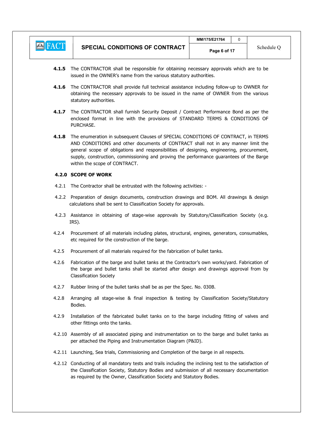

- 4.1.5 The CONTRACTOR shall be responsible for obtaining necessary approvals which are to be issued in the OWNER's name from the various statutory authorities.
- 4.1.6 The CONTRACTOR shall provide full technical assistance including follow-up to OWNER for obtaining the necessary approvals to be issued in the name of OWNER from the various statutory authorities.
- 4.1.7 The CONTRACTOR shall furnish Security Deposit / Contract Performance Bond as per the enclosed format in line with the provisions of STANDARD TERMS & CONDITIONS OF PURCHASE.
- 4.1.8 The enumeration in subsequent Clauses of SPECIAL CONDITIONS OF CONTRACT, in TERMS AND CONDITIONS and other documents of CONTRACT shall not in any manner limit the general scope of obligations and responsibilities of designing, engineering, procurement, supply, construction, commissioning and proving the performance guarantees of the Barge within the scope of CONTRACT.

### 4.2.0 SCOPE OF WORK

- 4.2.1 The Contractor shall be entrusted with the following activities: -
- 4.2.2 Preparation of design documents, construction drawings and BOM. All drawings & design calculations shall be sent to Classification Society for approvals.
- 4.2.3 Assistance in obtaining of stage-wise approvals by Statutory/Classification Society (e.g. IRS).
- 4.2.4 Procurement of all materials including plates, structural, engines, generators, consumables, etc required for the construction of the barge.
- 4.2.5 Procurement of all materials required for the fabrication of bullet tanks.
- 4.2.6 Fabrication of the barge and bullet tanks at the Contractor's own works/yard. Fabrication of the barge and bullet tanks shall be started after design and drawings approval from by Classification Society
- 4.2.7 Rubber lining of the bullet tanks shall be as per the Spec. No. 030B.
- 4.2.8 Arranging all stage-wise & final inspection & testing by Classification Society/Statutory Bodies.
- 4.2.9 Installation of the fabricated bullet tanks on to the barge including fitting of valves and other fittings onto the tanks.
- 4.2.10 Assembly of all associated piping and instrumentation on to the barge and bullet tanks as per attached the Piping and Instrumentation Diagram (P&ID).
- 4.2.11 Launching, Sea trials, Commissioning and Completion of the barge in all respects.
- 4.2.12 Conducting of all mandatory tests and trails including the inclining test to the satisfaction of the Classification Society, Statutory Bodies and submission of all necessary documentation as required by the Owner, Classification Society and Statutory Bodies.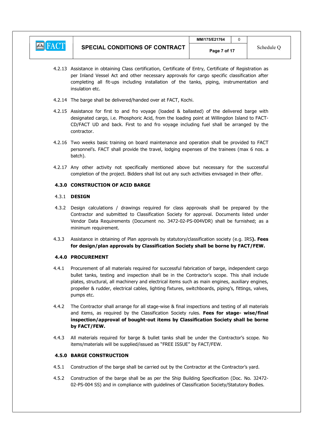

- 4.2.13 Assistance in obtaining Class certification, Certificate of Entry, Certificate of Registration as per Inland Vessel Act and other necessary approvals for cargo specific classification after completing all fit-ups including installation of the tanks, piping, instrumentation and insulation etc.
- 4.2.14 The barge shall be delivered/handed over at FACT, Kochi.
- 4.2.15 Assistance for first to and fro voyage (loaded & ballasted) of the delivered barge with designated cargo, i.e. Phosphoric Acid, from the loading point at Willingdon Island to FACT-CD/FACT UD and back. First to and fro voyage including fuel shall be arranged by the contractor.
- 4.2.16 Two weeks basic training on board maintenance and operation shall be provided to FACT personnel's. FACT shall provide the travel, lodging expenses of the trainees (max 6 nos. a batch).
- 4.2.17 Any other activity not specifically mentioned above but necessary for the successful completion of the project. Bidders shall list out any such activities envisaged in their offer.

# 4.3.0 CONSTRUCTION OF ACID BARGE

# 4.3.1 DESIGN

- 4.3.2 Design calculations / drawings required for class approvals shall be prepared by the Contractor and submitted to Classification Society for approval. Documents listed under Vendor Data Requirements (Document no. 3472-02-PS-004VDR) shall be furnished; as a minimum requirement.
- 4.3.3 Assistance in obtaining of Plan approvals by statutory/classification society (e.g. IRS). Fees for design/plan approvals by Classification Society shall be borne by FACT/FEW.

# 4.4.0 PROCUREMENT

- 4.4.1 Procurement of all materials required for successful fabrication of barge, independent cargo bullet tanks, testing and inspection shall be in the Contractor's scope. This shall include plates, structural, all machinery and electrical items such as main engines, auxiliary engines, propeller & rudder, electrical cables, lighting fixtures, switchboards, piping's, fittings, valves, pumps etc.
- 4.4.2 The Contractor shall arrange for all stage-wise & final inspections and testing of all materials and items, as required by the Classification Society rules. Fees for stage- wise/final inspection/approval of bought-out items by Classification Society shall be borne by FACT/FEW.
- 4.4.3 All materials required for barge & bullet tanks shall be under the Contractor's scope. No items/materials will be supplied/issued as "FREE ISSUE" by FACT/FEW.

# 4.5.0 BARGE CONSTRUCTION

- 4.5.1 Construction of the barge shall be carried out by the Contractor at the Contractor's yard.
- 4.5.2 Construction of the barge shall be as per the Ship Building Specification (Doc. No. 32472- 02-PS-004 SS) and in compliance with guidelines of Classification Society/Statutory Bodies.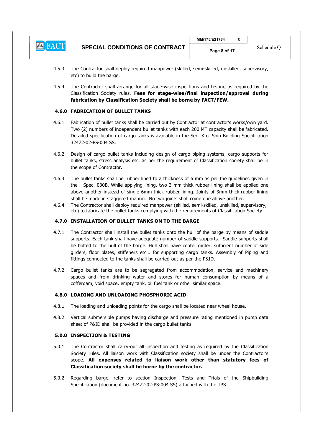

- 4.5.3 The Contractor shall deploy required manpower (skilled, semi-skilled, unskilled, supervisory, etc) to build the barge.
- 4.5.4 The Contractor shall arrange for all stage-wise inspections and testing as required by the Classification Society rules. Fees for stage-wise/final inspection/approval during fabrication by Classification Society shall be borne by FACT/FEW.

# 4.6.0 FABRICATION OF BULLET TANKS

- 4.6.1 Fabrication of bullet tanks shall be carried out by Contractor at contractor's works/own yard. Two (2) numbers of independent bullet tanks with each 200 MT capacity shall be fabricated. Detailed specification of cargo tanks is available in the Sec. X of Ship Building Specification 32472-02-PS-004 SS.
- 4.6.2 Design of cargo bullet tanks including design of cargo piping systems, cargo supports for bullet tanks, stress analysis etc. as per the requirement of Classification society shall be in the scope of Contractor.
- 4.6.3 The bullet tanks shall be rubber lined to a thickness of 6 mm as per the guidelines given in the Spec. 030B. While applying lining, two 3 mm thick rubber lining shall be applied one above another instead of single 6mm thick rubber lining. Joints of 3mm thick rubber lining shall be made in staggered manner. No two joints shall come one above another.
- 4.6.4 The Contractor shall deploy required manpower (skilled, semi-skilled, unskilled, supervisory, etc) to fabricate the bullet tanks complying with the requirements of Classification Society.

#### 4.7.0 INSTALLATION OF BULLET TANKS ON TO THE BARGE

- 4.7.1 The Contractor shall install the bullet tanks onto the hull of the barge by means of saddle supports. Each tank shall have adequate number of saddle supports. Saddle supports shall be bolted to the hull of the barge. Hull shall have center girder, sufficient number of side girders, floor plates, stiffeners etc… for supporting cargo tanks. Assembly of Piping and fittings connected to the tanks shall be carried-out as per the P&ID.
- 4.7.2 Cargo bullet tanks are to be segregated from accommodation, service and machinery spaces and from drinking water and stores for human consumption by means of a cofferdam, void space, empty tank, oil fuel tank or other similar space.

#### 4.8.0 LOADING AND UNLOADING PHOSPHORIC ACID

- 4.8.1 The loading and unloading points for the cargo shall be located near wheel house.
- 4.8.2 Vertical submersible pumps having discharge and pressure rating mentioned in pump data sheet of P&ID shall be provided in the cargo bullet tanks.

## 5.0.0 INSPECTION & TESTING

- 5.0.1 The Contractor shall carry-out all inspection and testing as required by the Classification Society rules. All liaison work with Classification society shall be under the Contractor's scope. All expenses related to liaison work other than statutory fees of Classification society shall be borne by the contractor.
- 5.0.2 Regarding barge, refer to section Inspection, Tests and Trials of the Shipbuilding Specification (document no. 32472-02-PS-004 SS) attached with the TPS.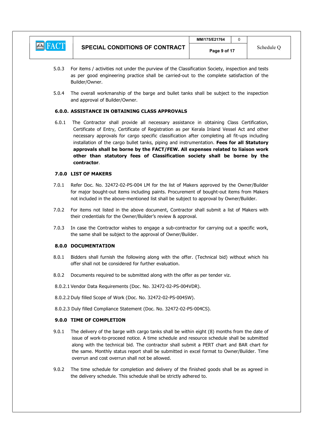| <b>EXTRACT</b> | <b>SPECIAL CONDITIONS OF CONTRACT</b> | MM/175/E21764 |            |
|----------------|---------------------------------------|---------------|------------|
|                |                                       | Page 9 of 17  | Schedule C |

- 5.0.3 For items / activities not under the purview of the Classification Society, inspection and tests as per good engineering practice shall be carried-out to the complete satisfaction of the Builder/Owner.
- 5.0.4 The overall workmanship of the barge and bullet tanks shall be subject to the inspection and approval of Builder/Owner.

# 6.0.0. ASSISTANCE IN OBTAINING CLASS APPROVALS

6.0.1 The Contractor shall provide all necessary assistance in obtaining Class Certification, Certificate of Entry, Certificate of Registration as per Kerala Inland Vessel Act and other necessary approvals for cargo specific classification after completing all fit-ups including installation of the cargo bullet tanks, piping and instrumentation. Fees for all Statutory approvals shall be borne by the FACT/FEW. All expenses related to liaison work other than statutory fees of Classification society shall be borne by the contractor.

### 7.0.0 LIST OF MAKERS

- 7.0.1 Refer Doc. No. 32472-02-PS-004 LM for the list of Makers approved by the Owner/Builder for major bought-out items including paints. Procurement of bought-out items from Makers not included in the above-mentioned list shall be subject to approval by Owner/Builder.
- 7.0.2 For items not listed in the above document, Contractor shall submit a list of Makers with their credentials for the Owner/Builder's review & approval.
- 7.0.3 In case the Contractor wishes to engage a sub-contractor for carrying out a specific work, the same shall be subject to the approval of Owner/Builder.

## 8.0.0 DOCUMENTATION

- 8.0.1 Bidders shall furnish the following along with the offer. (Technical bid) without which his offer shall not be considered for further evaluation.
- 8.0.2 Documents required to be submitted along with the offer as per tender viz.
- 8.0.2.1 Vendor Data Requirements (Doc. No. 32472-02-PS-004VDR).
- 8.0.2.2 Duly filled Scope of Work (Doc. No. 32472-02-PS-004SW).
- 8.0.2.3 Duly filled Compliance Statement (Doc. No. 32472-02-PS-004CS).

#### 9.0.0 TIME OF COMPLETION

- 9.0.1 The delivery of the barge with cargo tanks shall be within eight (8) months from the date of issue of work-to-proceed notice. A time schedule and resource schedule shall be submitted along with the technical bid. The contractor shall submit a PERT chart and BAR chart for the same. Monthly status report shall be submitted in excel format to Owner/Builder. Time overrun and cost overrun shall not be allowed.
- 9.0.2 The time schedule for completion and delivery of the finished goods shall be as agreed in the delivery schedule. This schedule shall be strictly adhered to.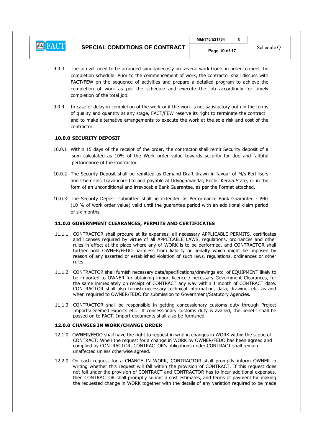

- 9.0.3 The job will need to be arranged simultaneously on several work fronts in order to meet the completion schedule. Prior to the commencement of work, the contractor shall discuss with FACT/FEW on the sequence of activities and prepare a detailed program to achieve the completion of work as per the schedule and execute the job accordingly for timely completion of the total job.
- 9.0.4 In case of delay in completion of the work or if the work is not satisfactory both in the terms of quality and quantity at any stage, FACT/FEW reserve its right to terminate the contract and to make alternative arrangements to execute the work at the sole risk and cost of the contractor.

### 10.0.0 SECURITY DEPOSIT

- 10.0.1 Within 15 days of the receipt of the order, the contractor shall remit Security deposit of a sum calculated as 10% of the Work order value towards security for due and faithful performance of the Contractor.
- 10.0.2 The Security Deposit shall be remitted as Demand Draft drawn in favour of M/s Fertilisers and Chemicals Travancore Ltd and payable at Udyogamandal, Kochi, Kerala State, or in the form of an unconditional and irrevocable Bank Guarantee, as per the Format attached.
- 10.0.3 The Security Deposit submitted shall be extended as Performance Bank Guarantee PBG (10 % of work order value) valid until the guarantee period with an additional claim period of six months.

## 11.0.0 GOVERNMENT CLEARANCES, PERMITS AND CERTIFICATES

- 11.1.1 CONTRACTOR shall procure at its expenses, all necessary APPLICABLE PERMITS, certificates and licenses required by virtue of all APPLICABLE LAWS, regulations, ordinances and other rules in effect at the place where any of WORK is to be performed, and CONTRACTOR shall further hold OWNER/FEDO harmless from liability or penalty which might be imposed by reason of any asserted or established violation of such laws, regulations, ordinances or other rules.
- 11.1.2 CONTRACTOR shall furnish necessary data/specifications/drawings etc. of EQUIPMENT likely to be imported to OWNER for obtaining import licence / necessary Government Clearances, for the same immediately on receipt of CONTRACT any way within 1 month of CONTRACT date. CONTRACTOR shall also furnish necessary technical information, data, drawing, etc. as and when required to OWNER/FEDO for submission to Government/Statutory Agencies.
- 11.1.3 CONTRACTOR shall be responsible in getting concessionary customs duty through Project Imports/Deemed Exports etc. If concessionary customs duty is availed, the benefit shall be passed on to FACT. Import documents shall also be furnished.

#### 12.0.0 CHANGES IN WORK/CHANGE ORDER

- 12.1.0 OWNER/FEDO shall have the right to request in writing changes in WORK within the scope of CONTRACT. When the request for a change in WORK by OWNER/FEDO has been agreed and complied by CONTRACTOR, CONTRACTOR's obligations under CONTRACT shall remain unaffected unless otherwise agreed.
- 12.2.0 On each request for a CHANGE IN WORK, CONTRACTOR shall promptly inform OWNER in writing whether this request will fall within the provision of CONTRACT. If this request does not fall under the provision of CONTRACT and CONTRACTOR has to incur additional expenses, then CONTRACTOR shall promptly submit a cost estimates, and terms of payment for making the requested change in WORK together with the details of any variation required to be made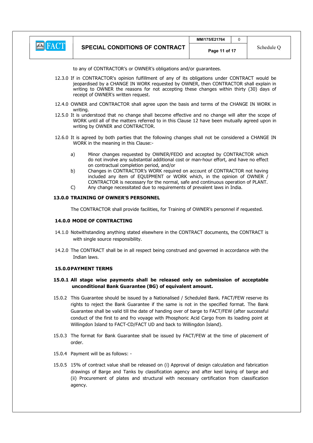

 $MM/175$ /F21764  $\Box$  0

to any of CONTRACTOR's or OWNER's obligations and/or guarantees.

- 12.3.0 If in CONTRACTOR's opinion fulfillment of any of its obligations under CONTRACT would be jeopardised by a CHANGE IN WORK requested by OWNER, then CONTRACTOR shall explain in writing to OWNER the reasons for not accepting these changes within thirty (30) days of receipt of OWNER's written request.
- 12.4.0 OWNER and CONTRACTOR shall agree upon the basis and terms of the CHANGE IN WORK in writing.
- 12.5.0 It is understood that no change shall become effective and no change will alter the scope of WORK until all of the matters referred to in this Clause 12 have been mutually agreed upon in writing by OWNER and CONTRACTOR.
- 12.6.0 It is agreed by both parties that the following changes shall not be considered a CHANGE IN WORK in the meaning in this Clause:
	- a) Minor changes requested by OWNER/FEDO and accepted by CONTRACTOR which do not involve any substantial additional cost or man-hour effort, and have no effect on contractual completion period, and/or
	- b) Changes in CONTRACTOR's WORK required on account of CONTRACTOR not having included any item of EQUIPMENT or WORK which, in the opinion of OWNER / CONTRACTOR is necessary for the normal, safe and continuous operation of PLANT.
	- C) Any change necessitated due to requirements of prevalent laws in India.

### 13.0.0 TRAINING OF OWNER'S PERSONNEL

The CONTRACTOR shall provide facilities, for Training of OWNER's personnel if requested.

#### 14.0.0 MODE OF CONTRACTING

- 14.1.0 Notwithstanding anything stated elsewhere in the CONTRACT documents, the CONTRACT is with single source responsibility.
- 14.2.0 The CONTRACT shall be in all respect being construed and governed in accordance with the Indian laws.

## 15.0.0PAYMENT TERMS

# 15.0.1 All stage wise payments shall be released only on submission of acceptable unconditional Bank Guarantee (BG) of equivalent amount.

- 15.0.2 This Guarantee should be issued by a Nationalised / Scheduled Bank. FACT/FEW reserve its rights to reject the Bank Guarantee if the same is not in the specified format. The Bank Guarantee shall be valid till the date of handing over of barge to FACT/FEW (after successful conduct of the first to and fro voyage with Phosphoric Acid Cargo from its loading point at Willingdon Island to FACT-CD/FACT UD and back to Willingdon Island).
- 15.0.3 The format for Bank Guarantee shall be issued by FACT/FEW at the time of placement of order.
- 15.0.4 Payment will be as follows: -
- 15.0.5 15% of contract value shall be released on (i) Approval of design calculation and fabrication drawings of Barge and Tanks by classification agency and after keel laying of barge and (ii) Procurement of plates and structural with necessary certification from classification agency.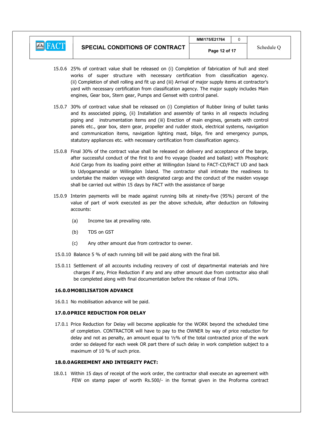# **E** FACT

- 15.0.6 25% of contract value shall be released on (i) Completion of fabrication of hull and steel works of super structure with necessary certification from classification agency. (ii) Completion of shell rolling and fit up and (iii) Arrival of major supply items at contractor's yard with necessary certification from classification agency. The major supply includes Main engines, Gear box, Stern gear, Pumps and Genset with control panel.
- 15.0.7 30% of contract value shall be released on (i) Completion of Rubber lining of bullet tanks and its associated piping, (ii) Installation and assembly of tanks in all respects including piping and instrumentation items and (iii) Erection of main engines, gensets with control panels etc., gear box, stern gear, propeller and rudder stock, electrical systems, navigation and communication items, navigation lighting mast, bilge, fire and emergency pumps, statutory appliances etc. with necessary certification from classification agency.
- 15.0.8 Final 30% of the contract value shall be released on delivery and acceptance of the barge, after successful conduct of the first to and fro voyage (loaded and ballast) with Phosphoric Acid Cargo from its loading point either at Willingdon Island to FACT-CD/FACT UD and back to Udyogamandal or Willingdon Island. The contractor shall intimate the readiness to undertake the maiden voyage with designated cargo and the conduct of the maiden voyage shall be carried out within 15 days by FACT with the assistance of barge
- 15.0.9 Interim payments will be made against running bills at ninety-five (95%) percent of the value of part of work executed as per the above schedule, after deduction on following accounts:
	- (a) Income tax at prevailing rate.
	- (b) TDS on GST
	- (c) Any other amount due from contractor to owner.
- 15.0.10 Balance 5 % of each running bill will be paid along with the final bill.
- 15.0.11 Settlement of all accounts including recovery of cost of departmental materials and hire charges if any, Price Reduction if any and any other amount due from contractor also shall be completed along with final documentation before the release of final 10%.

## 16.0.0MOBILISATION ADVANCE

16.0.1 No mobilisation advance will be paid.

## 17.0.0PRICE REDUCTION FOR DELAY

17.0.1 Price Reduction for Delay will become applicable for the WORK beyond the scheduled time of completion. CONTRACTOR will have to pay to the OWNER by way of price reduction for delay and not as penalty, an amount equal to ½% of the total contracted price of the work order so delayed for each week OR part there of such delay in work completion subject to a maximum of 10 % of such price.

## 18.0.0AGREEMENT AND INTEGRITY PACT:

18.0.1 Within 15 days of receipt of the work order, the contractor shall execute an agreement with FEW on stamp paper of worth Rs.500/- in the format given in the Proforma contract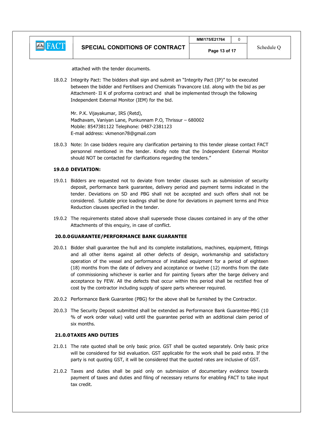

attached with the tender documents.

18.0.2 Integrity Pact: The bidders shall sign and submit an "Integrity Pact (IP)" to be executed between the bidder and Fertilisers and Chemicals Travancore Ltd. along with the bid as per Attachment- II K of proforma contract and shall be implemented through the following Independent External Monitor (IEM) for the bid.

 Mr. P.K. Vijayakumar, IRS (Retd), Madhavam, Vaniyan Lane, Punkunnam P.O, Thrissur – 680002 Mobile: 8547381122 Telephone: 0487-2381123 E-mail address: vkmenon78@gmail.com

18.0.3 Note: In case bidders require any clarification pertaining to this tender please contact FACT personnel mentioned in the tender. Kindly note that the Independent External Monitor should NOT be contacted for clarifications regarding the tenders."

# 19.0.0 DEVIATION:

- 19.0.1 Bidders are requested not to deviate from tender clauses such as submission of security deposit, performance bank guarantee, delivery period and payment terms indicated in the tender. Deviations on SD and PBG shall not be accepted and such offers shall not be considered. Suitable price loadings shall be done for deviations in payment terms and Price Reduction clauses specified in the tender.
- 19.0.2 The requirements stated above shall supersede those clauses contained in any of the other Attachments of this enquiry, in case of conflict.

#### 20.0.0GUARANTEE/PERFORMANCE BANK GUARANTEE

- 20.0.1 Bidder shall guarantee the hull and its complete installations, machines, equipment, fittings and all other items against all other defects of design, workmanship and satisfactory operation of the vessel and performance of installed equipment for a period of eighteen (18) months from the date of delivery and acceptance or twelve (12) months from the date of commissioning whichever is earlier and for painting 5years after the barge delivery and acceptance by FEW. All the defects that occur within this period shall be rectified free of cost by the contractor including supply of spare parts wherever required.
- 20.0.2 Performance Bank Guarantee (PBG) for the above shall be furnished by the Contractor.
- 20.0.3 The Security Deposit submitted shall be extended as Performance Bank Guarantee-PBG (10 % of work order value) valid until the guarantee period with an additional claim period of six months.

#### 21.0.0TAXES AND DUTIES

- 21.0.1 The rate quoted shall be only basic price. GST shall be quoted separately. Only basic price will be considered for bid evaluation. GST applicable for the work shall be paid extra. If the party is not quoting GST, it will be considered that the quoted rates are inclusive of GST.
- 21.0.2 Taxes and duties shall be paid only on submission of documentary evidence towards payment of taxes and duties and filing of necessary returns for enabling FACT to take input tax credit.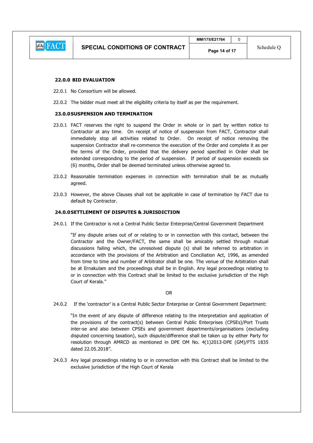

## 22.0.0 BID EVALUATION

- 22.0.1 No Consortium will be allowed.
- 22.0.2 The bidder must meet all the eligibility criteria by itself as per the requirement.

### 23.0.0SUSPENSION AND TERMINATION

- 23.0.1 FACT reserves the right to suspend the Order in whole or in part by written notice to Contractor at any time. On receipt of notice of suspension from FACT, Contractor shall immediately stop all activities related to Order. On receipt of notice removing the suspension Contractor shall re-commence the execution of the Order and complete it as per the terms of the Order, provided that the delivery period specified in Order shall be extended corresponding to the period of suspension. If period of suspension exceeds six (6) months, Order shall be deemed terminated unless otherwise agreed to.
- 23.0.2 Reasonable termination expenses in connection with termination shall be as mutually agreed.
- 23.0.3 However, the above Clauses shall not be applicable in case of termination by FACT due to default by Contractor.

#### 24.0.0SETTLEMENT OF DISPUTES & JURISDICTION

24.0.1 If the Contractor is not a Central Public Sector Enterprise/Central Government Department

"If any dispute arises out of or relating to or in connection with this contact, between the Contractor and the Owner/FACT, the same shall be amicably settled through mutual discussions failing which, the unresolved dispute (s) shall be referred to arbitration in accordance with the provisions of the Arbitration and Conciliation Act, 1996, as amended from time to time and number of Arbitrator shall be one. The venue of the Arbitration shall be at Ernakulam and the proceedings shall be in English. Any legal proceedings relating to or in connection with this Contract shall be limited to the exclusive jurisdiction of the High Court of Kerala."

**OR** Service Service Service Service Service Service Service Service Service Service Service Service Service Service Service Service Service Service Service Service Service Service Service Service Service Service Service S

24.0.2 If the 'contractor' is a Central Public Sector Enterprise or Central Government Department:

"In the event of any dispute of difference relating to the interpretation and application of the provisions of the contract(s) between Central Public Enterprises (CPSEs)/Port Trusts inter-se and also between CPSEs and government departments/organisations (excluding disputed concerning taxation), such dispute/difference shall be taken up by either Party for resolution through AMRCD as mentioned in DPE OM No. 4(1)2013-DPE (GM)/FTS 1835 dated 22.05.2018".

24.0.3 Any legal proceedings relating to or in connection with this Contract shall be limited to the exclusive jurisdiction of the High Court of Kerala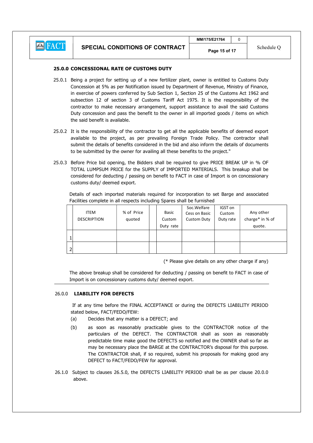# 25.0.0 CONCESSIONAL RATE OF CUSTOMS DUTY

- 25.0.1 Being a project for setting up of a new fertilizer plant, owner is entitled to Customs Duty Concession at 5% as per Notification issued by Department of Revenue, Ministry of Finance, in exercise of powers conferred by Sub Section 1, Section 25 of the Customs Act 1962 and subsection 12 of section 3 of Customs Tariff Act 1975. It is the responsibility of the contractor to make necessary arrangement, support assistance to avail the said Customs Duty concession and pass the benefit to the owner in all imported goods / items on which the said benefit is available.
- 25.0.2 It is the responsibility of the contractor to get all the applicable benefits of deemed export available to the project, as per prevailing Foreign Trade Policy. The contractor shall submit the details of benefits considered in the bid and also inform the details of documents to be submitted by the owner for availing all these benefits to the project."
- 25.0.3 Before Price bid opening, the Bidders shall be required to give PRICE BREAK UP in % OF TOTAL LUMPSUM PRICE for the SUPPLY of IMPORTED MATERIALS. This breakup shall be considered for deducting / passing on benefit to FACT in case of Import is on concessionary customs duty/ deemed export.

 Details of each imported materials required for incorporation to set Barge and associated Facilities complete in all respects including Spares shall be furnished

|   | <b>ITEM</b><br><b>DESCRIPTION</b> | % of Price<br>quoted | Basic<br>Custom<br>Duty rate | Soc.Welfare<br>Cess on Basic<br><b>Custom Duty</b> | IGST on<br>Custom<br>Duty rate | Any other<br>charge* in % of<br>quote. |  |
|---|-----------------------------------|----------------------|------------------------------|----------------------------------------------------|--------------------------------|----------------------------------------|--|
|   |                                   |                      |                              |                                                    |                                |                                        |  |
| 2 |                                   |                      |                              |                                                    |                                |                                        |  |
|   |                                   |                      |                              | (* Please give details on any other charge if any) |                                |                                        |  |

 The above breakup shall be considered for deducting / passing on benefit to FACT in case of Import is on concessionary customs duty/ deemed export.

#### 26.0.0 LIABILITY FOR DEFECTS

 If at any time before the FINAL ACCEPTANCE or during the DEFECTS LIABILITY PERIOD stated below, FACT/FEDO/FEW:

- (a) Decides that any matter is a DEFECT; and
- (b) as soon as reasonably practicable gives to the CONTRACTOR notice of the particulars of the DEFECT. The CONTRACTOR shall as soon as reasonably predictable time make good the DEFECTS so notified and the OWNER shall so far as may be necessary place the BARGE at the CONTRACTOR's disposal for this purpose. The CONTRACTOR shall, if so required, submit his proposals for making good any DEFECT to FACT/FEDO/FEW for approval.
- 26.1.0 Subject to clauses 26.5.0, the DEFECTS LIABILITY PERIOD shall be as per clause 20.0.0 above.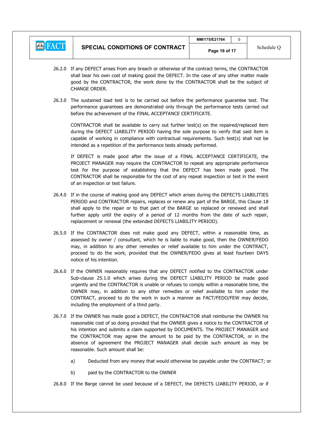

- 26.2.0 If any DEFECT arises from any breach or otherwise of the contract terms, the CONTRACTOR shall bear his own cost of making good the DEFECT. In the case of any other matter made good by the CONTRACTOR, the work done by the CONTRACTOR shall be the subject of CHANGE ORDER.
- 26.3.0 The sustained load test is to be carried out before the performance guarantee test. The performance guarantees are demonstrated only through the performance tests carried out before the achievement of the FINAL ACCEPTANCE CERTIFICATE.

CONTRACTOR shall be available to carry out further test(s) on the repaired/replaced item during the DEFECT LIABILITY PERIOD having the sole purpose to verify that said item is capable of working in compliance with contractual requirements. Such test(s) shall not be intended as a repetition of the performance tests already performed.

If DEFECT is made good after the issue of a FINAL ACCEPTANCE CERTIFICATE, the PROJECT MANAGER may require the CONTRACTOR to repeat any appropriate performance test for the purpose of establishing that the DEFECT has been made good. The CONTRACTOR shall be responsible for the cost of any repeat inspection or test in the event of an inspection or test failure.

- 26.4.0 If in the course of making good any DEFECT which arises during the DEFECTS LIABILITIES PERIOD and CONTRACTOR repairs, replaces or renew any part of the BARGE, this Clause 18 shall apply to the repair or to that part of the BARGE so replaced or renewed and shall further apply until the expiry of a period of 12 months from the date of such repair, replacement or renewal (the extended DEFECTS LIABILITY PERIOD).
- 26.5.0 If the CONTRACTOR does not make good any DEFECT, within a reasonable time, as assessed by owner / consultant, which he is liable to make good, then the OWNER/FEDO may, in addition to any other remedies or relief available to him under the CONTRACT, proceed to do the work, provided that the OWNER/FEDO gives at least fourteen DAYS notice of his intention.
- 26.6.0 If the OWNER reasonably requires that any DEFECT notified to the CONTRACTOR under Sub-clause 25.1.0 which arises during the DEFECT LIABILITY PERIOD be made good urgently and the CONTRACTOR is unable or refuses to comply within a reasonable time, the OWNER may, in addition to any other remedies or relief available to him under the CONTRACT, proceed to do the work in such a manner as FACT/FEDO/FEW may decide, including the employment of a third party.
- 26.7.0 If the OWNER has made good a DEFECT, the CONTRACTOR shall reimburse the OWNER his reasonable cost of so doing provided that the OWNER gives a notice to the CONTRACTOR of his intention and submits a claim supported by DOCUMENTS. The PROJECT MANAGER and the CONTRACTOR may agree the amount to be paid by the CONTRACTOR, or in the absence of agreement the PROJECT MANAGER shall decide such amount as may be reasonable. Such amount shall be:
	- a) Deducted from any money that would otherwise be payable under the CONTRACT; or
	- b) paid by the CONTRACTOR to the OWNER

26.8.0 If the Barge cannot be used because of a DEFECT, the DEFECTS LIABILITY PERIOD, or if